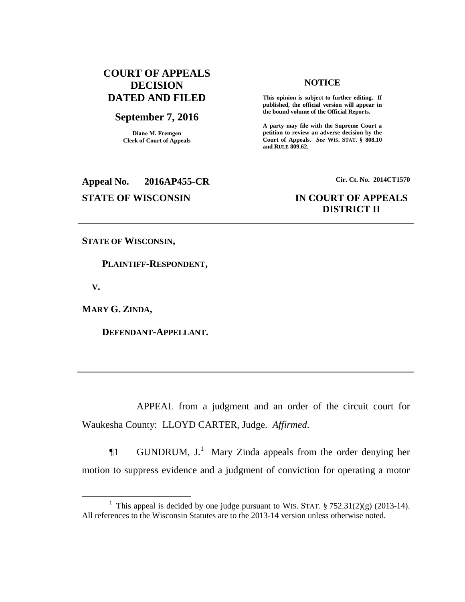# **COURT OF APPEALS DECISION DATED AND FILED**

## **September 7, 2016**

**Diane M. Fremgen Clerk of Court of Appeals**

**Appeal No. 2016AP455-CR Cir. Ct. No. 2014CT1570**

### **NOTICE**

**This opinion is subject to further editing. If published, the official version will appear in the bound volume of the Official Reports.** 

**A party may file with the Supreme Court a petition to review an adverse decision by the Court of Appeals.** *See* **WIS. STAT. § 808.10 and RULE 809.62.** 

# **STATE OF WISCONSIN IN COURT OF APPEALS DISTRICT II**

#### **STATE OF WISCONSIN,**

 **PLAINTIFF-RESPONDENT,**

 **V.**

 $\overline{a}$ 

**MARY G. ZINDA,**

 **DEFENDANT-APPELLANT.**

APPEAL from a judgment and an order of the circuit court for Waukesha County: LLOYD CARTER, Judge. *Affirmed*.

 $\P1$  GUNDRUM, J.<sup>1</sup> Mary Zinda appeals from the order denying her motion to suppress evidence and a judgment of conviction for operating a motor

<sup>&</sup>lt;sup>1</sup> This appeal is decided by one judge pursuant to WIS. STAT.  $\S 752.31(2)(g)$  (2013-14). All references to the Wisconsin Statutes are to the 2013-14 version unless otherwise noted.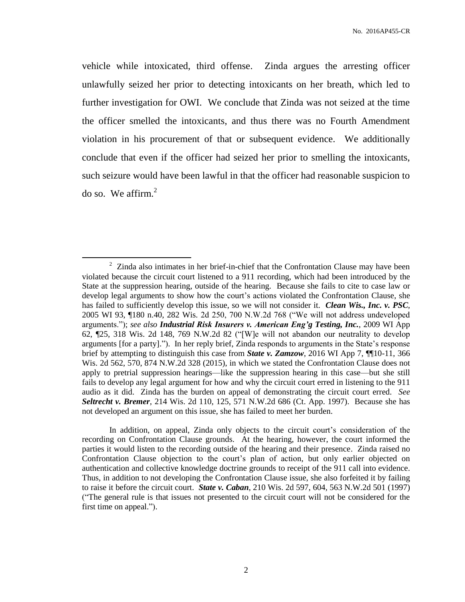vehicle while intoxicated, third offense. Zinda argues the arresting officer unlawfully seized her prior to detecting intoxicants on her breath, which led to further investigation for OWI. We conclude that Zinda was not seized at the time the officer smelled the intoxicants, and thus there was no Fourth Amendment violation in his procurement of that or subsequent evidence. We additionally conclude that even if the officer had seized her prior to smelling the intoxicants, such seizure would have been lawful in that the officer had reasonable suspicion to do so. We affirm. $<sup>2</sup>$ </sup>

 $\overline{a}$ 

In addition, on appeal, Zinda only objects to the circuit court's consideration of the recording on Confrontation Clause grounds. At the hearing, however, the court informed the parties it would listen to the recording outside of the hearing and their presence. Zinda raised no Confrontation Clause objection to the court's plan of action, but only earlier objected on authentication and collective knowledge doctrine grounds to receipt of the 911 call into evidence. Thus, in addition to not developing the Confrontation Clause issue, she also forfeited it by failing to raise it before the circuit court. *State v. Caban*, 210 Wis. 2d 597, 604, 563 N.W.2d 501 (1997) ("The general rule is that issues not presented to the circuit court will not be considered for the first time on appeal.").

<sup>&</sup>lt;sup>2</sup> Zinda also intimates in her brief-in-chief that the Confrontation Clause may have been violated because the circuit court listened to a 911 recording, which had been introduced by the State at the suppression hearing, outside of the hearing. Because she fails to cite to case law or develop legal arguments to show how the court's actions violated the Confrontation Clause, she has failed to sufficiently develop this issue, so we will not consider it. *Clean Wis., Inc. v. PSC*, 2005 WI 93, ¶180 n.40, 282 Wis. 2d 250, 700 N.W.2d 768 ("We will not address undeveloped arguments."); *see also Industrial Risk Insurers v. American Eng'g Testing, Inc.*, 2009 WI App 62, ¶25, 318 Wis. 2d 148, 769 N.W.2d 82 ("[W]e will not abandon our neutrality to develop arguments [for a party]."). In her reply brief, Zinda responds to arguments in the State's response brief by attempting to distinguish this case from *State v. Zamzow*, 2016 WI App 7, ¶¶10-11, 366 Wis. 2d 562, 570, 874 N.W.2d 328 (2015), in which we stated the Confrontation Clause does not apply to pretrial suppression hearings—like the suppression hearing in this case—but she still fails to develop any legal argument for how and why the circuit court erred in listening to the 911 audio as it did. Zinda has the burden on appeal of demonstrating the circuit court erred. *See Seltrecht v. Bremer*, 214 Wis. 2d 110, 125, 571 N.W.2d 686 (Ct. App. 1997). Because she has not developed an argument on this issue, she has failed to meet her burden.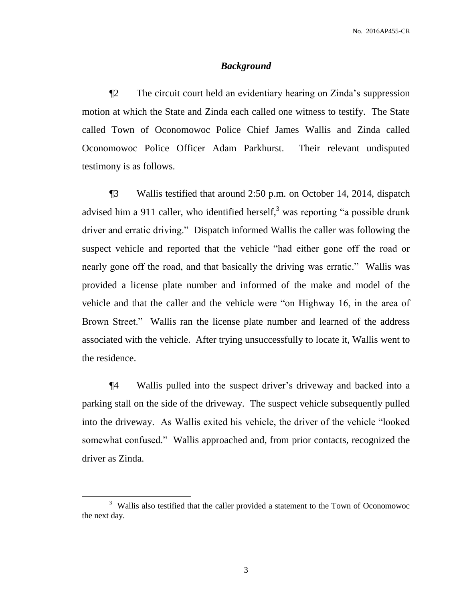#### *Background*

¶2 The circuit court held an evidentiary hearing on Zinda's suppression motion at which the State and Zinda each called one witness to testify. The State called Town of Oconomowoc Police Chief James Wallis and Zinda called Oconomowoc Police Officer Adam Parkhurst. Their relevant undisputed testimony is as follows.

¶3 Wallis testified that around 2:50 p.m. on October 14, 2014, dispatch advised him a 911 caller, who identified herself, $3$  was reporting "a possible drunk driver and erratic driving." Dispatch informed Wallis the caller was following the suspect vehicle and reported that the vehicle "had either gone off the road or nearly gone off the road, and that basically the driving was erratic." Wallis was provided a license plate number and informed of the make and model of the vehicle and that the caller and the vehicle were "on Highway 16, in the area of Brown Street." Wallis ran the license plate number and learned of the address associated with the vehicle. After trying unsuccessfully to locate it, Wallis went to the residence.

¶4 Wallis pulled into the suspect driver's driveway and backed into a parking stall on the side of the driveway. The suspect vehicle subsequently pulled into the driveway. As Wallis exited his vehicle, the driver of the vehicle "looked somewhat confused." Wallis approached and, from prior contacts, recognized the driver as Zinda.

 $\overline{a}$ 

<sup>&</sup>lt;sup>3</sup> Wallis also testified that the caller provided a statement to the Town of Oconomowoc the next day.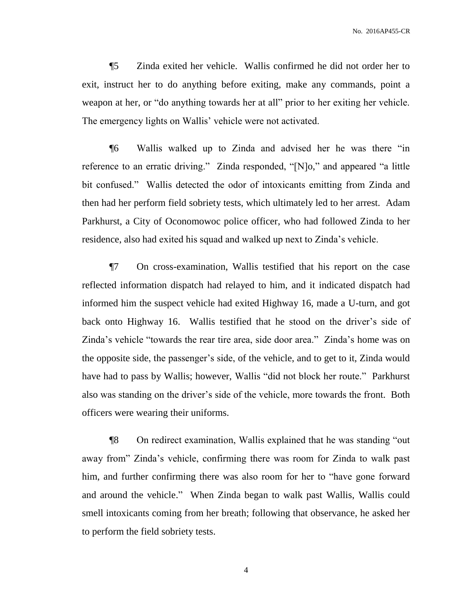¶5 Zinda exited her vehicle. Wallis confirmed he did not order her to exit, instruct her to do anything before exiting, make any commands, point a weapon at her, or "do anything towards her at all" prior to her exiting her vehicle. The emergency lights on Wallis' vehicle were not activated.

¶6 Wallis walked up to Zinda and advised her he was there "in reference to an erratic driving." Zinda responded, "[N]o," and appeared "a little bit confused." Wallis detected the odor of intoxicants emitting from Zinda and then had her perform field sobriety tests, which ultimately led to her arrest. Adam Parkhurst, a City of Oconomowoc police officer, who had followed Zinda to her residence, also had exited his squad and walked up next to Zinda's vehicle.

¶7 On cross-examination, Wallis testified that his report on the case reflected information dispatch had relayed to him, and it indicated dispatch had informed him the suspect vehicle had exited Highway 16, made a U-turn, and got back onto Highway 16. Wallis testified that he stood on the driver's side of Zinda's vehicle "towards the rear tire area, side door area." Zinda's home was on the opposite side, the passenger's side, of the vehicle, and to get to it, Zinda would have had to pass by Wallis; however, Wallis "did not block her route." Parkhurst also was standing on the driver's side of the vehicle, more towards the front. Both officers were wearing their uniforms.

¶8 On redirect examination, Wallis explained that he was standing "out away from" Zinda's vehicle, confirming there was room for Zinda to walk past him, and further confirming there was also room for her to "have gone forward and around the vehicle." When Zinda began to walk past Wallis, Wallis could smell intoxicants coming from her breath; following that observance, he asked her to perform the field sobriety tests.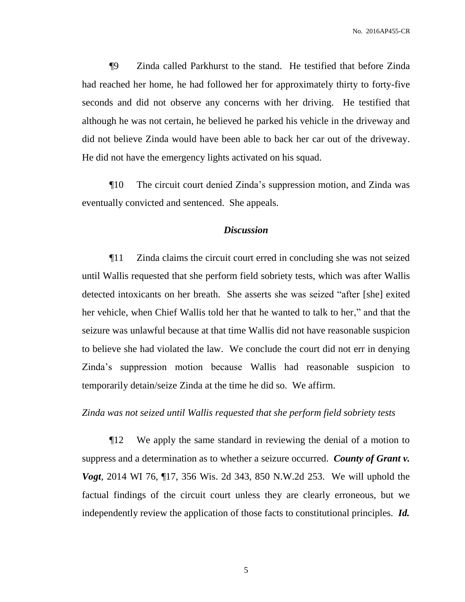¶9 Zinda called Parkhurst to the stand. He testified that before Zinda had reached her home, he had followed her for approximately thirty to forty-five seconds and did not observe any concerns with her driving. He testified that although he was not certain, he believed he parked his vehicle in the driveway and did not believe Zinda would have been able to back her car out of the driveway. He did not have the emergency lights activated on his squad.

¶10 The circuit court denied Zinda's suppression motion, and Zinda was eventually convicted and sentenced. She appeals.

### *Discussion*

¶11 Zinda claims the circuit court erred in concluding she was not seized until Wallis requested that she perform field sobriety tests, which was after Wallis detected intoxicants on her breath. She asserts she was seized "after [she] exited her vehicle, when Chief Wallis told her that he wanted to talk to her," and that the seizure was unlawful because at that time Wallis did not have reasonable suspicion to believe she had violated the law. We conclude the court did not err in denying Zinda's suppression motion because Wallis had reasonable suspicion to temporarily detain/seize Zinda at the time he did so. We affirm.

#### *Zinda was not seized until Wallis requested that she perform field sobriety tests*

¶12 We apply the same standard in reviewing the denial of a motion to suppress and a determination as to whether a seizure occurred. *County of Grant v. Vogt*, 2014 WI 76, ¶17, 356 Wis. 2d 343, 850 N.W.2d 253. We will uphold the factual findings of the circuit court unless they are clearly erroneous, but we independently review the application of those facts to constitutional principles. *Id.*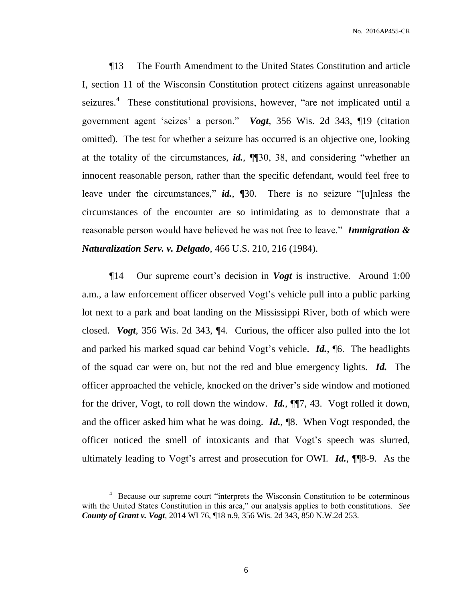¶13 The Fourth Amendment to the United States Constitution and article I, section 11 of the Wisconsin Constitution protect citizens against unreasonable seizures.<sup>4</sup> These constitutional provisions, however, "are not implicated until a government agent 'seizes' a person." *Vogt*, 356 Wis. 2d 343, ¶19 (citation omitted). The test for whether a seizure has occurred is an objective one, looking at the totality of the circumstances, *id.*, ¶¶30, 38, and considering "whether an innocent reasonable person, rather than the specific defendant, would feel free to leave under the circumstances," *id.*, ¶30. There is no seizure "[u]nless the circumstances of the encounter are so intimidating as to demonstrate that a reasonable person would have believed he was not free to leave." *Immigration & Naturalization Serv. v. Delgado*, 466 U.S. 210, 216 (1984).

¶14 Our supreme court's decision in *Vogt* is instructive. Around 1:00 a.m., a law enforcement officer observed Vogt's vehicle pull into a public parking lot next to a park and boat landing on the Mississippi River, both of which were closed. *Vogt*, 356 Wis. 2d 343, ¶4. Curious, the officer also pulled into the lot and parked his marked squad car behind Vogt's vehicle. *Id.*, ¶6. The headlights of the squad car were on, but not the red and blue emergency lights. *Id.* The officer approached the vehicle, knocked on the driver's side window and motioned for the driver, Vogt, to roll down the window. *Id.*, ¶¶7, 43. Vogt rolled it down, and the officer asked him what he was doing. *Id.*, ¶8. When Vogt responded, the officer noticed the smell of intoxicants and that Vogt's speech was slurred, ultimately leading to Vogt's arrest and prosecution for OWI. *Id.*, ¶¶8-9. As the

 $\overline{a}$ 

<sup>4</sup> Because our supreme court "interprets the Wisconsin Constitution to be coterminous with the United States Constitution in this area," our analysis applies to both constitutions. *See County of Grant v. Vogt*, 2014 WI 76, ¶18 n.9, 356 Wis. 2d 343, 850 N.W.2d 253.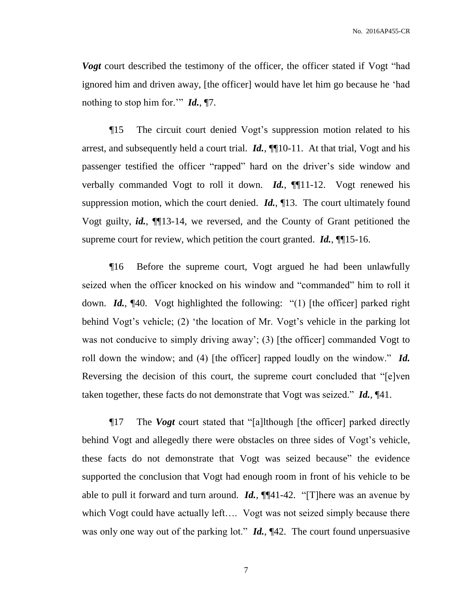*Vogt* court described the testimony of the officer, the officer stated if Vogt "had ignored him and driven away, [the officer] would have let him go because he 'had nothing to stop him for.'" *Id.*, ¶7.

¶15 The circuit court denied Vogt's suppression motion related to his arrest, and subsequently held a court trial. *Id.*, ¶¶10-11. At that trial, Vogt and his passenger testified the officer "rapped" hard on the driver's side window and verbally commanded Vogt to roll it down. *Id.*, ¶[11-12. Vogt renewed his suppression motion, which the court denied. *Id.*, ¶13. The court ultimately found Vogt guilty, *id.*, ¶¶13-14, we reversed, and the County of Grant petitioned the supreme court for review, which petition the court granted. *Id.*, **[16**] 15-16.

¶16 Before the supreme court, Vogt argued he had been unlawfully seized when the officer knocked on his window and "commanded" him to roll it down. *Id.*, ¶40. Vogt highlighted the following: "(1) [the officer] parked right behind Vogt's vehicle; (2) 'the location of Mr. Vogt's vehicle in the parking lot was not conducive to simply driving away'; (3) [the officer] commanded Vogt to roll down the window; and (4) [the officer] rapped loudly on the window." *Id.* Reversing the decision of this court, the supreme court concluded that "[e]ven taken together, these facts do not demonstrate that Vogt was seized." *Id.*, ¶41.

¶17 The *Vogt* court stated that "[a]lthough [the officer] parked directly behind Vogt and allegedly there were obstacles on three sides of Vogt's vehicle, these facts do not demonstrate that Vogt was seized because" the evidence supported the conclusion that Vogt had enough room in front of his vehicle to be able to pull it forward and turn around. *Id.*, ¶¶41-42. "[T]here was an avenue by which Vogt could have actually left…. Vogt was not seized simply because there was only one way out of the parking lot." *Id.*,  $\P{42}$ . The court found unpersuasive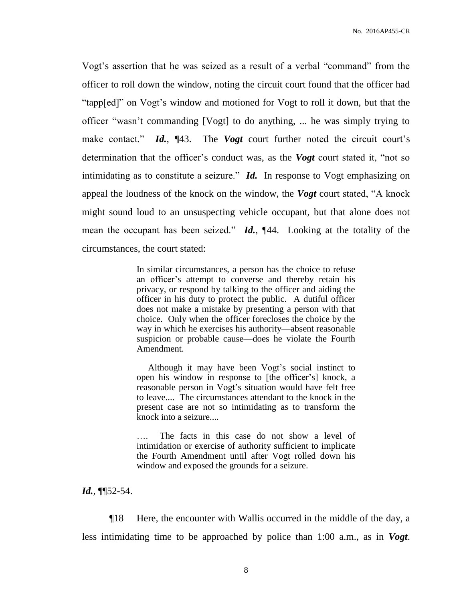Vogt's assertion that he was seized as a result of a verbal "command" from the officer to roll down the window, noting the circuit court found that the officer had "tapp[ed]" on Vogt's window and motioned for Vogt to roll it down, but that the officer "wasn't commanding [Vogt] to do anything, ... he was simply trying to make contact." *Id.*, ¶43. The *Vogt* court further noted the circuit court's determination that the officer's conduct was, as the *Vogt* court stated it, "not so intimidating as to constitute a seizure." *Id.* In response to Vogt emphasizing on appeal the loudness of the knock on the window, the *Vogt* court stated, "A knock might sound loud to an unsuspecting vehicle occupant, but that alone does not mean the occupant has been seized." *Id.*, ¶44. Looking at the totality of the circumstances, the court stated:

> In similar circumstances, a person has the choice to refuse an officer's attempt to converse and thereby retain his privacy, or respond by talking to the officer and aiding the officer in his duty to protect the public. A dutiful officer does not make a mistake by presenting a person with that choice. Only when the officer forecloses the choice by the way in which he exercises his authority—absent reasonable suspicion or probable cause—does he violate the Fourth Amendment.

> Although it may have been Vogt's social instinct to open his window in response to [the officer's] knock, a reasonable person in Vogt's situation would have felt free to leave.... The circumstances attendant to the knock in the present case are not so intimidating as to transform the knock into a seizure....

> The facts in this case do not show a level of intimidation or exercise of authority sufficient to implicate the Fourth Amendment until after Vogt rolled down his window and exposed the grounds for a seizure.

*Id.*, ¶¶52-54.

¶18 Here, the encounter with Wallis occurred in the middle of the day, a less intimidating time to be approached by police than 1:00 a.m., as in *Vogt*.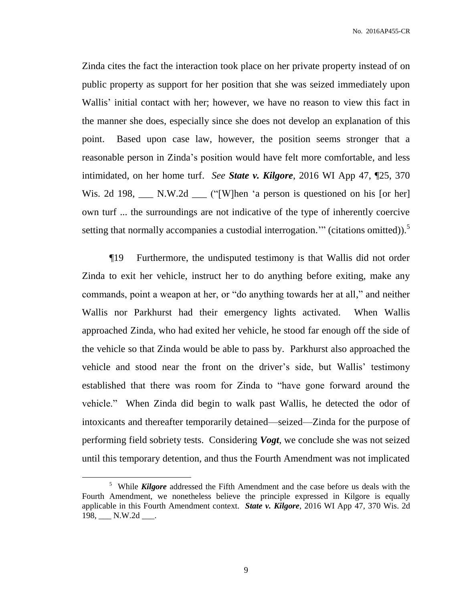Zinda cites the fact the interaction took place on her private property instead of on public property as support for her position that she was seized immediately upon Wallis' initial contact with her; however, we have no reason to view this fact in the manner she does, especially since she does not develop an explanation of this point. Based upon case law, however, the position seems stronger that a reasonable person in Zinda's position would have felt more comfortable, and less intimidated, on her home turf. *See State v. Kilgore*, 2016 WI App 47, ¶25, 370 Wis. 2d 198, N.W.2d ("[W]hen 'a person is questioned on his [or her] own turf ... the surroundings are not indicative of the type of inherently coercive setting that normally accompanies a custodial interrogation." (citations omitted)).<sup>5</sup>

¶19 Furthermore, the undisputed testimony is that Wallis did not order Zinda to exit her vehicle, instruct her to do anything before exiting, make any commands, point a weapon at her, or "do anything towards her at all," and neither Wallis nor Parkhurst had their emergency lights activated. When Wallis approached Zinda, who had exited her vehicle, he stood far enough off the side of the vehicle so that Zinda would be able to pass by. Parkhurst also approached the vehicle and stood near the front on the driver's side, but Wallis' testimony established that there was room for Zinda to "have gone forward around the vehicle." When Zinda did begin to walk past Wallis, he detected the odor of intoxicants and thereafter temporarily detained—seized—Zinda for the purpose of performing field sobriety tests. Considering *Vogt*, we conclude she was not seized until this temporary detention, and thus the Fourth Amendment was not implicated

 $\overline{a}$ 

<sup>5</sup> While *Kilgore* addressed the Fifth Amendment and the case before us deals with the Fourth Amendment, we nonetheless believe the principle expressed in Kilgore is equally applicable in this Fourth Amendment context. *State v. Kilgore*, 2016 WI App 47, 370 Wis. 2d 198, N.W.2d .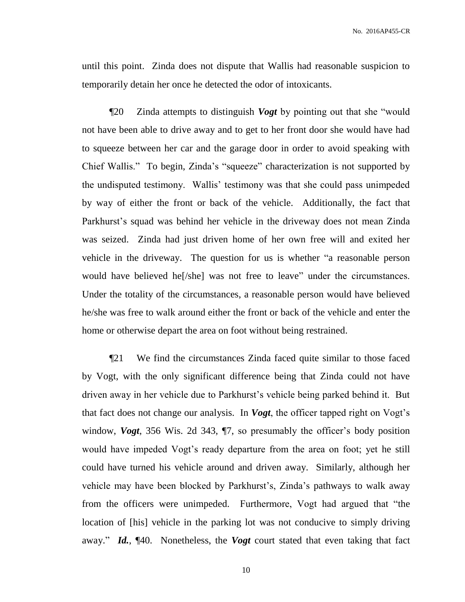until this point. Zinda does not dispute that Wallis had reasonable suspicion to temporarily detain her once he detected the odor of intoxicants.

¶20 Zinda attempts to distinguish *Vogt* by pointing out that she "would not have been able to drive away and to get to her front door she would have had to squeeze between her car and the garage door in order to avoid speaking with Chief Wallis." To begin, Zinda's "squeeze" characterization is not supported by the undisputed testimony. Wallis' testimony was that she could pass unimpeded by way of either the front or back of the vehicle. Additionally, the fact that Parkhurst's squad was behind her vehicle in the driveway does not mean Zinda was seized. Zinda had just driven home of her own free will and exited her vehicle in the driveway. The question for us is whether "a reasonable person would have believed he[/she] was not free to leave" under the circumstances. Under the totality of the circumstances, a reasonable person would have believed he/she was free to walk around either the front or back of the vehicle and enter the home or otherwise depart the area on foot without being restrained.

¶21 We find the circumstances Zinda faced quite similar to those faced by Vogt, with the only significant difference being that Zinda could not have driven away in her vehicle due to Parkhurst's vehicle being parked behind it. But that fact does not change our analysis. In *Vogt*, the officer tapped right on Vogt's window, *Vogt*, 356 Wis. 2d 343, ¶7, so presumably the officer's body position would have impeded Vogt's ready departure from the area on foot; yet he still could have turned his vehicle around and driven away. Similarly, although her vehicle may have been blocked by Parkhurst's, Zinda's pathways to walk away from the officers were unimpeded. Furthermore, Vogt had argued that "the location of [his] vehicle in the parking lot was not conducive to simply driving away." *Id.*, ¶40. Nonetheless, the *Vogt* court stated that even taking that fact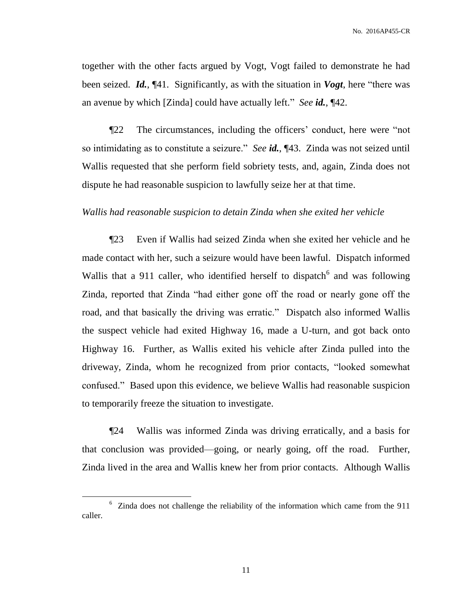together with the other facts argued by Vogt, Vogt failed to demonstrate he had been seized. *Id.*, ¶41. Significantly, as with the situation in *Vogt*, here "there was an avenue by which [Zinda] could have actually left." *See id.*, ¶42.

¶22 The circumstances, including the officers' conduct, here were "not so intimidating as to constitute a seizure." *See id.*, ¶43. Zinda was not seized until Wallis requested that she perform field sobriety tests, and, again, Zinda does not dispute he had reasonable suspicion to lawfully seize her at that time.

### *Wallis had reasonable suspicion to detain Zinda when she exited her vehicle*

¶23 Even if Wallis had seized Zinda when she exited her vehicle and he made contact with her, such a seizure would have been lawful. Dispatch informed Wallis that a 911 caller, who identified herself to dispatch $6$  and was following Zinda, reported that Zinda "had either gone off the road or nearly gone off the road, and that basically the driving was erratic." Dispatch also informed Wallis the suspect vehicle had exited Highway 16, made a U-turn, and got back onto Highway 16. Further, as Wallis exited his vehicle after Zinda pulled into the driveway, Zinda, whom he recognized from prior contacts, "looked somewhat confused." Based upon this evidence, we believe Wallis had reasonable suspicion to temporarily freeze the situation to investigate.

¶24 Wallis was informed Zinda was driving erratically, and a basis for that conclusion was provided—going, or nearly going, off the road. Further, Zinda lived in the area and Wallis knew her from prior contacts. Although Wallis

 $\overline{a}$ 

<sup>6</sup> Zinda does not challenge the reliability of the information which came from the 911 caller.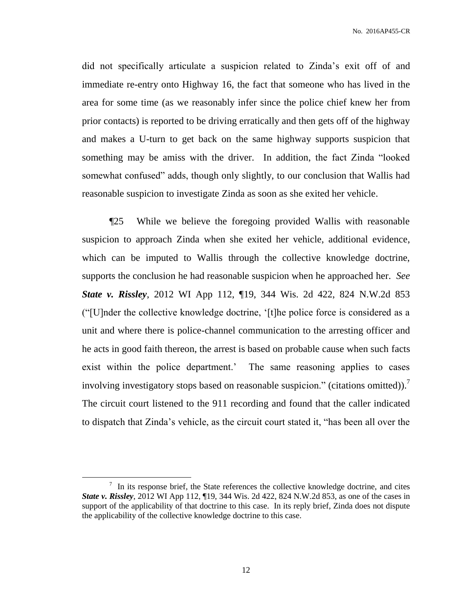did not specifically articulate a suspicion related to Zinda's exit off of and immediate re-entry onto Highway 16, the fact that someone who has lived in the area for some time (as we reasonably infer since the police chief knew her from prior contacts) is reported to be driving erratically and then gets off of the highway and makes a U-turn to get back on the same highway supports suspicion that something may be amiss with the driver. In addition, the fact Zinda "looked somewhat confused" adds, though only slightly, to our conclusion that Wallis had reasonable suspicion to investigate Zinda as soon as she exited her vehicle.

¶25 While we believe the foregoing provided Wallis with reasonable suspicion to approach Zinda when she exited her vehicle, additional evidence, which can be imputed to Wallis through the collective knowledge doctrine, supports the conclusion he had reasonable suspicion when he approached her. *See State v. Rissley*, 2012 WI App 112, ¶19, 344 Wis. 2d 422, 824 N.W.2d 853 ("[U]nder the collective knowledge doctrine, '[t]he police force is considered as a unit and where there is police-channel communication to the arresting officer and he acts in good faith thereon, the arrest is based on probable cause when such facts exist within the police department.' The same reasoning applies to cases involving investigatory stops based on reasonable suspicion." (citations omitted)).<sup>7</sup> The circuit court listened to the 911 recording and found that the caller indicated to dispatch that Zinda's vehicle, as the circuit court stated it, "has been all over the

 $\overline{a}$ 

 $\frac{7}{1}$  In its response brief, the State references the collective knowledge doctrine, and cites *State v. Rissley*, 2012 WI App 112, 19, 344 Wis. 2d 422, 824 N.W.2d 853, as one of the cases in support of the applicability of that doctrine to this case. In its reply brief, Zinda does not dispute the applicability of the collective knowledge doctrine to this case.